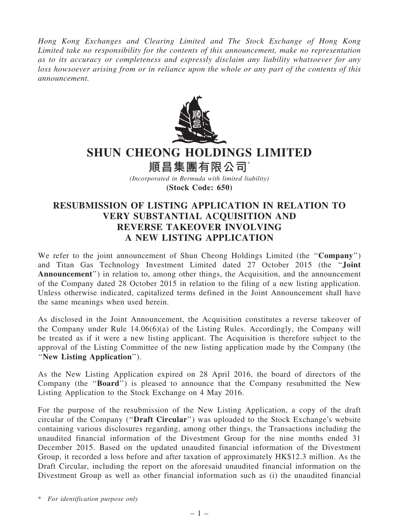Hong Kong Exchanges and Clearing Limited and The Stock Exchange of Hong Kong Limited take no responsibility for the contents of this announcement, make no representation as to its accuracy or completeness and expressly disclaim any liability whatsoever for any loss howsoever arising from or in reliance upon the whole or any part of the contents of this announcement.



## SHUN CHEONG HOLDINGS LIMITED

順昌集團有限公司\*

(Incorporated in Bermuda with limited liability) (Stock Code: 650)

## RESUBMISSION OF LISTING APPLICATION IN RELATION TO VERY SUBSTANTIAL ACQUISITION AND REVERSE TAKEOVER INVOLVING A NEW LISTING APPLICATION

We refer to the joint announcement of Shun Cheong Holdings Limited (the "Company") and Titan Gas Technology Investment Limited dated 27 October 2015 (the ''Joint Announcement'') in relation to, among other things, the Acquisition, and the announcement of the Company dated 28 October 2015 in relation to the filing of a new listing application. Unless otherwise indicated, capitalized terms defined in the Joint Announcement shall have the same meanings when used herein.

As disclosed in the Joint Announcement, the Acquisition constitutes a reverse takeover of the Company under Rule 14.06(6)(a) of the Listing Rules. Accordingly, the Company will be treated as if it were a new listing applicant. The Acquisition is therefore subject to the approval of the Listing Committee of the new listing application made by the Company (the ''New Listing Application'').

As the New Listing Application expired on 28 April 2016, the board of directors of the Company (the ''Board'') is pleased to announce that the Company resubmitted the New Listing Application to the Stock Exchange on 4 May 2016.

For the purpose of the resubmission of the New Listing Application, a copy of the draft circular of the Company (''Draft Circular'') was uploaded to the Stock Exchange's website containing various disclosures regarding, among other things, the Transactions including the unaudited financial information of the Divestment Group for the nine months ended 31 December 2015. Based on the updated unaudited financial information of the Divestment Group, it recorded a loss before and after taxation of approximately HK\$12.3 million. As the Draft Circular, including the report on the aforesaid unaudited financial information on the Divestment Group as well as other financial information such as (i) the unaudited financial

\* For identification purpose only